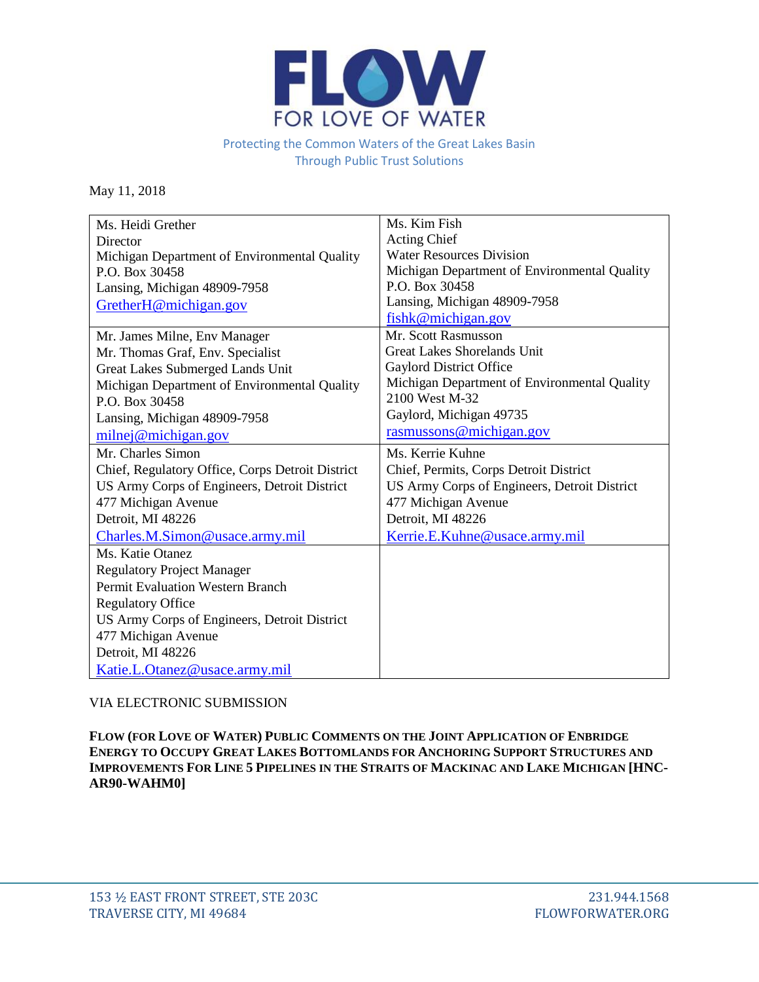

## Protecting the Common Waters of the Great Lakes Basin Through Public Trust Solutions

May 11, 2018

| Ms. Heidi Grether                                | Ms. Kim Fish                                 |
|--------------------------------------------------|----------------------------------------------|
| Director                                         | <b>Acting Chief</b>                          |
| Michigan Department of Environmental Quality     | <b>Water Resources Division</b>              |
| P.O. Box 30458                                   | Michigan Department of Environmental Quality |
| Lansing, Michigan 48909-7958                     | P.O. Box 30458                               |
| GretherH@michigan.gov                            | Lansing, Michigan 48909-7958                 |
|                                                  | fishk@michigan.gov                           |
| Mr. James Milne, Env Manager                     | Mr. Scott Rasmusson                          |
| Mr. Thomas Graf, Env. Specialist                 | <b>Great Lakes Shorelands Unit</b>           |
| Great Lakes Submerged Lands Unit                 | Gaylord District Office                      |
| Michigan Department of Environmental Quality     | Michigan Department of Environmental Quality |
| P.O. Box 30458                                   | 2100 West M-32                               |
| Lansing, Michigan 48909-7958                     | Gaylord, Michigan 49735                      |
| milnej@michigan.gov                              | rasmussons@michigan.gov                      |
| Mr. Charles Simon                                | Ms. Kerrie Kuhne                             |
| Chief, Regulatory Office, Corps Detroit District | Chief, Permits, Corps Detroit District       |
| US Army Corps of Engineers, Detroit District     | US Army Corps of Engineers, Detroit District |
| 477 Michigan Avenue                              | 477 Michigan Avenue                          |
| Detroit, MI 48226                                | Detroit, MI 48226                            |
| Charles.M.Simon@usace.army.mil                   | Kerrie.E.Kuhne@usace.army.mil                |
| Ms. Katie Otanez                                 |                                              |
| <b>Regulatory Project Manager</b>                |                                              |
| Permit Evaluation Western Branch                 |                                              |
| <b>Regulatory Office</b>                         |                                              |
| US Army Corps of Engineers, Detroit District     |                                              |
| 477 Michigan Avenue                              |                                              |
| Detroit, MI 48226                                |                                              |
| Katie.L.Otanez@usace.army.mil                    |                                              |

# VIA ELECTRONIC SUBMISSION

**FLOW (FOR LOVE OF WATER) PUBLIC COMMENTS ON THE JOINT APPLICATION OF ENBRIDGE ENERGY TO OCCUPY GREAT LAKES BOTTOMLANDS FOR ANCHORING SUPPORT STRUCTURES AND IMPROVEMENTS FOR LINE 5 PIPELINES IN THE STRAITS OF MACKINAC AND LAKE MICHIGAN [HNC-AR90-WAHM0]**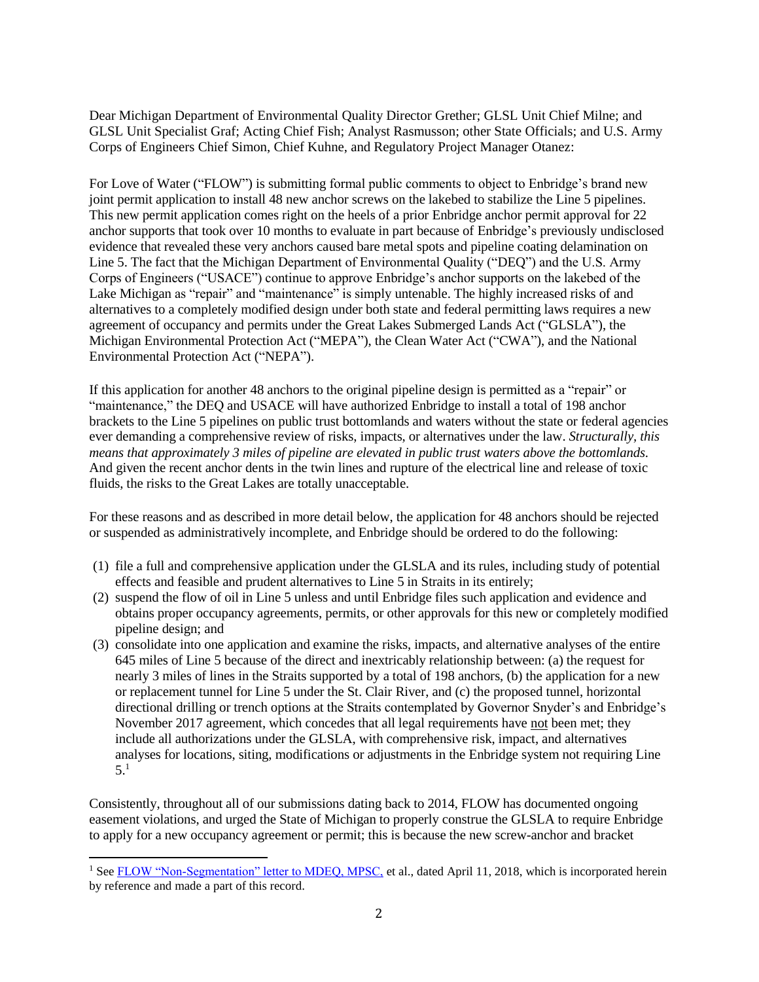Dear Michigan Department of Environmental Quality Director Grether; GLSL Unit Chief Milne; and GLSL Unit Specialist Graf; Acting Chief Fish; Analyst Rasmusson; other State Officials; and U.S. Army Corps of Engineers Chief Simon, Chief Kuhne, and Regulatory Project Manager Otanez:

For Love of Water ("FLOW") is submitting formal public comments to object to Enbridge's brand new joint permit application to install 48 new anchor screws on the lakebed to stabilize the Line 5 pipelines. This new permit application comes right on the heels of a prior Enbridge anchor permit approval for 22 anchor supports that took over 10 months to evaluate in part because of Enbridge's previously undisclosed evidence that revealed these very anchors caused bare metal spots and pipeline coating delamination on Line 5. The fact that the Michigan Department of Environmental Quality ("DEQ") and the U.S. Army Corps of Engineers ("USACE") continue to approve Enbridge's anchor supports on the lakebed of the Lake Michigan as "repair" and "maintenance" is simply untenable. The highly increased risks of and alternatives to a completely modified design under both state and federal permitting laws requires a new agreement of occupancy and permits under the Great Lakes Submerged Lands Act ("GLSLA"), the Michigan Environmental Protection Act ("MEPA"), the Clean Water Act ("CWA"), and the National Environmental Protection Act ("NEPA").

If this application for another 48 anchors to the original pipeline design is permitted as a "repair" or "maintenance," the DEQ and USACE will have authorized Enbridge to install a total of 198 anchor brackets to the Line 5 pipelines on public trust bottomlands and waters without the state or federal agencies ever demanding a comprehensive review of risks, impacts, or alternatives under the law. *Structurally, this means that approximately 3 miles of pipeline are elevated in public trust waters above the bottomlands.* And given the recent anchor dents in the twin lines and rupture of the electrical line and release of toxic fluids, the risks to the Great Lakes are totally unacceptable.

For these reasons and as described in more detail below, the application for 48 anchors should be rejected or suspended as administratively incomplete, and Enbridge should be ordered to do the following:

- (1) file a full and comprehensive application under the GLSLA and its rules, including study of potential effects and feasible and prudent alternatives to Line 5 in Straits in its entirely;
- (2) suspend the flow of oil in Line 5 unless and until Enbridge files such application and evidence and obtains proper occupancy agreements, permits, or other approvals for this new or completely modified pipeline design; and
- (3) consolidate into one application and examine the risks, impacts, and alternative analyses of the entire 645 miles of Line 5 because of the direct and inextricably relationship between: (a) the request for nearly 3 miles of lines in the Straits supported by a total of 198 anchors, (b) the application for a new or replacement tunnel for Line 5 under the St. Clair River, and (c) the proposed tunnel, horizontal directional drilling or trench options at the Straits contemplated by Governor Snyder's and Enbridge's November 2017 agreement, which concedes that all legal requirements have not been met; they include all authorizations under the GLSLA, with comprehensive risk, impact, and alternatives analyses for locations, siting, modifications or adjustments in the Enbridge system not requiring Line 5.1

Consistently, throughout all of our submissions dating back to 2014, FLOW has documented ongoing easement violations, and urged the State of Michigan to properly construe the GLSLA to require Enbridge to apply for a new occupancy agreement or permit; this is because the new screw-anchor and bracket

 $\overline{a}$ 

<sup>&</sup>lt;sup>1</sup> Se[e FLOW "Non-Segmentation" letter to MDEQ, MPSC,](http://flowforwater.org/wp-content/uploads/2018/04/Final-FLOW-letter-to-MPSC-and-DEQ.pdf) et al., dated April 11, 2018, which is incorporated herein by reference and made a part of this record.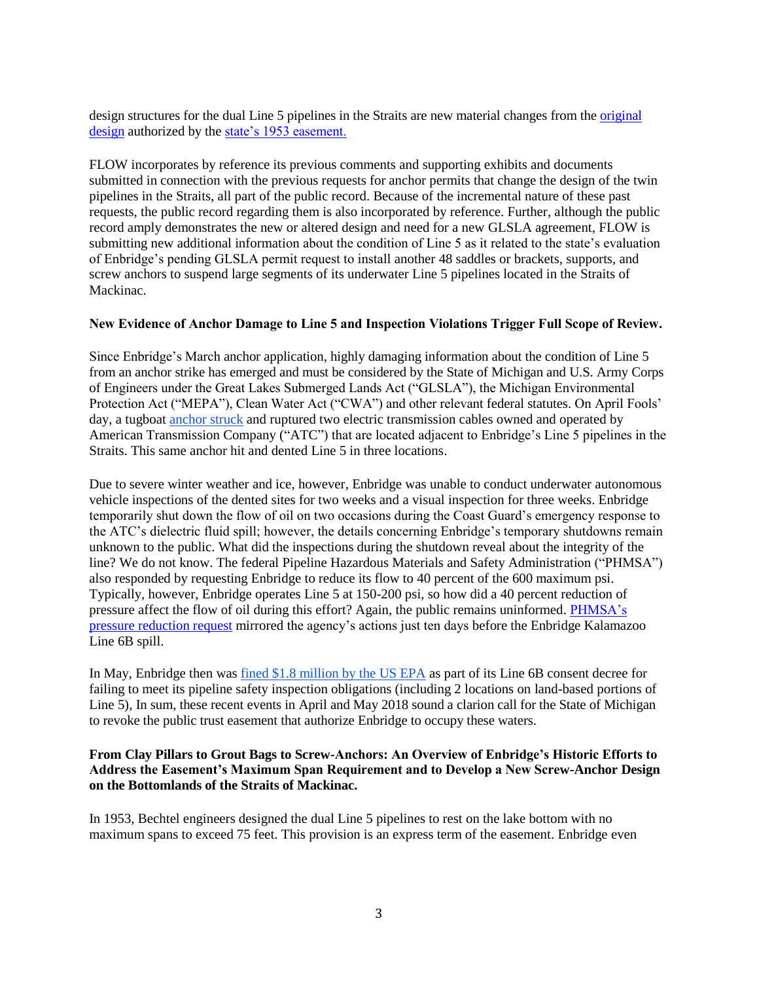design structures for the dual Line 5 pipelines in the Straits are new material changes from the *original* [design](http://www.michigan.gov/documents/deq/Appendix_A.2_493980_7.pdf) authorized by the [state's 1953 easement.](http://www.michigan.gov/documents/deq/Appendix_A.1_493978_7.pdf)

FLOW incorporates by reference its previous comments and supporting exhibits and documents submitted in connection with the previous requests for anchor permits that change the design of the twin pipelines in the Straits, all part of the public record. Because of the incremental nature of these past requests, the public record regarding them is also incorporated by reference. Further, although the public record amply demonstrates the new or altered design and need for a new GLSLA agreement, FLOW is submitting new additional information about the condition of Line 5 as it related to the state's evaluation of Enbridge's pending GLSLA permit request to install another 48 saddles or brackets, supports, and screw anchors to suspend large segments of its underwater Line 5 pipelines located in the Straits of Mackinac.

#### **New Evidence of Anchor Damage to Line 5 and Inspection Violations Trigger Full Scope of Review.**

Since Enbridge's March anchor application, highly damaging information about the condition of Line 5 from an anchor strike has emerged and must be considered by the State of Michigan and U.S. Army Corps of Engineers under the Great Lakes Submerged Lands Act ("GLSLA"), the Michigan Environmental Protection Act ("MEPA"), Clean Water Act ("CWA") and other relevant federal statutes. On April Fools' day, a tugboat [anchor struck](https://www.freep.com/story/news/local/michigan/2018/04/11/enbridge-line-oil-pipeline-straits-mackinac/507506002/) and ruptured two electric transmission cables owned and operated by American Transmission Company ("ATC") that are located adjacent to Enbridge's Line 5 pipelines in the Straits. This same anchor hit and dented Line 5 in three locations.

Due to severe winter weather and ice, however, Enbridge was unable to conduct underwater autonomous vehicle inspections of the dented sites for two weeks and a visual inspection for three weeks. Enbridge temporarily shut down the flow of oil on two occasions during the Coast Guard's emergency response to the ATC's dielectric fluid spill; however, the details concerning Enbridge's temporary shutdowns remain unknown to the public. What did the inspections during the shutdown reveal about the integrity of the line? We do not know. The federal Pipeline Hazardous Materials and Safety Administration ("PHMSA") also responded by requesting Enbridge to reduce its flow to 40 percent of the 600 maximum psi. Typically, however, Enbridge operates Line 5 at 150-200 psi, so how did a 40 percent reduction of pressure affect the flow of oil during this effort? Again, the public remains uninformed. [PHMSA's](https://www.ntsb.gov/investigations/AccidentReports/Reports/PAR1201.pdf)  [pressure reduction request](https://www.ntsb.gov/investigations/AccidentReports/Reports/PAR1201.pdf) mirrored the agency's actions just ten days before the Enbridge Kalamazoo Line 6B spill.

In May, Enbridge then was [fined \\$1.8 million by the US EPA](https://www.nytimes.com/aponline/2018/05/03/us/ap-us-enbridge-penalty.html) as part of its Line 6B consent decree for failing to meet its pipeline safety inspection obligations (including 2 locations on land-based portions of Line 5), In sum, these recent events in April and May 2018 sound a clarion call for the State of Michigan to revoke the public trust easement that authorize Enbridge to occupy these waters.

#### **From Clay Pillars to Grout Bags to Screw-Anchors: An Overview of Enbridge's Historic Efforts to Address the Easement's Maximum Span Requirement and to Develop a New Screw-Anchor Design on the Bottomlands of the Straits of Mackinac.**

In 1953, Bechtel engineers designed the dual Line 5 pipelines to rest on the lake bottom with no maximum spans to exceed 75 feet. This provision is an express term of the easement. Enbridge even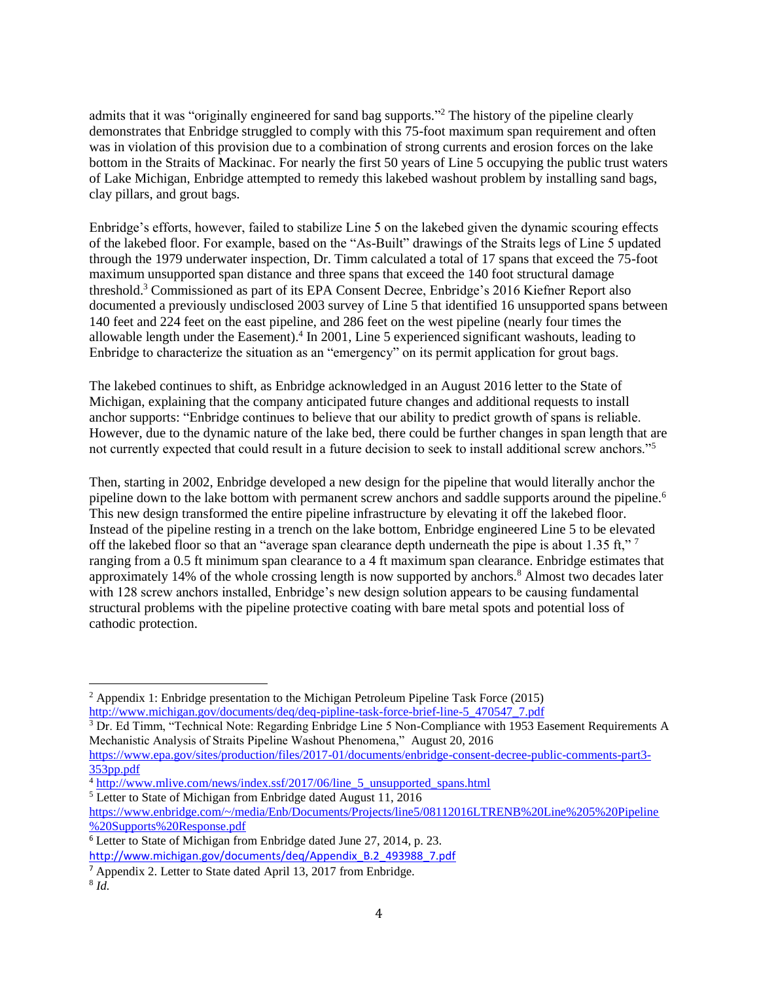admits that it was "originally engineered for sand bag supports." <sup>2</sup> The history of the pipeline clearly demonstrates that Enbridge struggled to comply with this 75-foot maximum span requirement and often was in violation of this provision due to a combination of strong currents and erosion forces on the lake bottom in the Straits of Mackinac. For nearly the first 50 years of Line 5 occupying the public trust waters of Lake Michigan, Enbridge attempted to remedy this lakebed washout problem by installing sand bags, clay pillars, and grout bags.

Enbridge's efforts, however, failed to stabilize Line 5 on the lakebed given the dynamic scouring effects of the lakebed floor. For example, based on the "As-Built" drawings of the Straits legs of Line 5 updated through the 1979 underwater inspection, Dr. Timm calculated a total of 17 spans that exceed the 75-foot maximum unsupported span distance and three spans that exceed the 140 foot structural damage threshold.<sup>3</sup> Commissioned as part of its EPA Consent Decree, Enbridge's 2016 Kiefner Report also documented a previously undisclosed 2003 survey of Line 5 that identified 16 unsupported spans between 140 feet and 224 feet on the east pipeline, and 286 feet on the west pipeline (nearly four times the allowable length under the Easement).<sup>4</sup> In 2001, Line 5 experienced significant washouts, leading to Enbridge to characterize the situation as an "emergency" on its permit application for grout bags.

The lakebed continues to shift, as Enbridge acknowledged in an August 2016 letter to the State of Michigan, explaining that the company anticipated future changes and additional requests to install anchor supports: "Enbridge continues to believe that our ability to predict growth of spans is reliable. However, due to the dynamic nature of the lake bed, there could be further changes in span length that are not currently expected that could result in a future decision to seek to install additional screw anchors."<sup>5</sup>

Then, starting in 2002, Enbridge developed a new design for the pipeline that would literally anchor the pipeline down to the lake bottom with permanent screw anchors and saddle supports around the pipeline.<sup>6</sup> This new design transformed the entire pipeline infrastructure by elevating it off the lakebed floor. Instead of the pipeline resting in a trench on the lake bottom, Enbridge engineered Line 5 to be elevated off the lakebed floor so that an "average span clearance depth underneath the pipe is about 1.35 ft," 7 ranging from a 0.5 ft minimum span clearance to a 4 ft maximum span clearance. Enbridge estimates that approximately 14% of the whole crossing length is now supported by anchors.<sup>8</sup> Almost two decades later with 128 screw anchors installed, Enbridge's new design solution appears to be causing fundamental structural problems with the pipeline protective coating with bare metal spots and potential loss of cathodic protection.

 $\overline{\phantom{a}}$ 

<sup>&</sup>lt;sup>2</sup> Appendix 1: Enbridge presentation to the Michigan Petroleum Pipeline Task Force (2015) [http://www.michigan.gov/documents/deq/deq-pipline-task-force-brief-line-5\\_470547\\_7.pdf](http://www.michigan.gov/documents/deq/deq-pipline-task-force-brief-line-5_470547_7.pdf)

 $3$  Dr. Ed Timm, "Technical Note: Regarding Enbridge Line 5 Non-Compliance with 1953 Easement Requirements A Mechanistic Analysis of Straits Pipeline Washout Phenomena," August 20, 2016

[https://www.epa.gov/sites/production/files/2017-01/documents/enbridge-consent-decree-public-comments-part3-](https://www.epa.gov/sites/production/files/2017-01/documents/enbridge-consent-decree-public-comments-part3-353pp.pdf) [353pp.pdf](https://www.epa.gov/sites/production/files/2017-01/documents/enbridge-consent-decree-public-comments-part3-353pp.pdf)

<sup>&</sup>lt;sup>4</sup> [http://www.mlive.com/news/index.ssf/2017/06/line\\_5\\_unsupported\\_spans.html](http://www.mlive.com/news/index.ssf/2017/06/line_5_unsupported_spans.html)

<sup>5</sup> Letter to State of Michigan from Enbridge dated August 11, 2016

[https://www.enbridge.com/~/media/Enb/Documents/Projects/line5/08112016LTRENB%20Line%205%20Pipeline](https://www.enbridge.com/~/media/Enb/Documents/Projects/line5/08112016LTRENB%20Line%205%20Pipeline%20Supports%20Response.pdf) [%20Supports%20Response.pdf](https://www.enbridge.com/~/media/Enb/Documents/Projects/line5/08112016LTRENB%20Line%205%20Pipeline%20Supports%20Response.pdf)

<sup>&</sup>lt;sup>6</sup> Letter to State of Michigan from Enbridge dated June 27, 2014, p. 23.

http://www.michigan.gov[/documents/](http://www.michigan.gov/documents/deq/Appendix_B.2_493988_7.pdf)deq/Appendix\_B.2\_493988\_7.pdf

<sup>7</sup> Appendix 2. Letter to State dated April 13, 2017 from Enbridge.

<sup>8</sup> *Id.*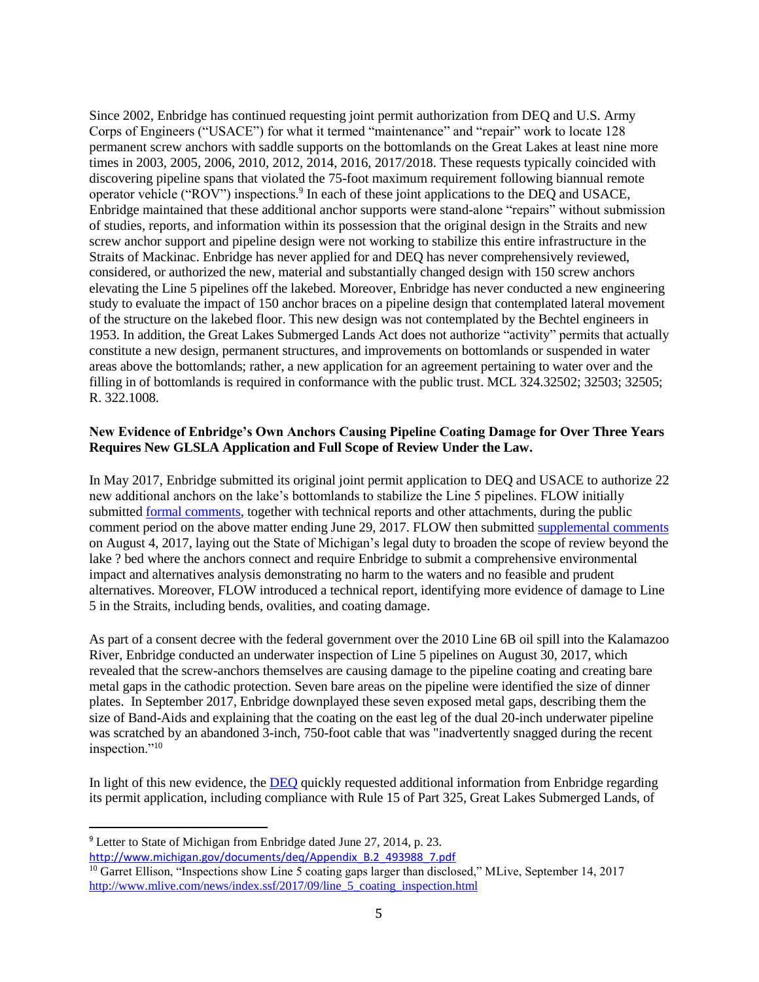Since 2002, Enbridge has continued requesting joint permit authorization from DEQ and U.S. Army Corps of Engineers ("USACE") for what it termed "maintenance" and "repair" work to locate 128 permanent screw anchors with saddle supports on the bottomlands on the Great Lakes at least nine more times in 2003, 2005, 2006, 2010, 2012, 2014, 2016, 2017/2018. These requests typically coincided with discovering pipeline spans that violated the 75-foot maximum requirement following biannual remote operator vehicle ("ROV") inspections.<sup>9</sup> In each of these joint applications to the DEQ and USACE, Enbridge maintained that these additional anchor supports were stand-alone "repairs" without submission of studies, reports, and information within its possession that the original design in the Straits and new screw anchor support and pipeline design were not working to stabilize this entire infrastructure in the Straits of Mackinac. Enbridge has never applied for and DEQ has never comprehensively reviewed, considered, or authorized the new, material and substantially changed design with 150 screw anchors elevating the Line 5 pipelines off the lakebed. Moreover, Enbridge has never conducted a new engineering study to evaluate the impact of 150 anchor braces on a pipeline design that contemplated lateral movement of the structure on the lakebed floor. This new [design](http://www.michigan.gov/documents/deq/Appendix_A.2_493980_7.pdf) was not contemplated by the Bechtel engineers in 1953. In addition, the Great Lakes Submerged Lands Act does not authorize "activity" permits that actually constitute a new design, permanent structures, and improvements on bottomlands or suspended in water areas above the bottomlands; rather, a new application for an agreement pertaining to water over and the filling in of bottomlands is required in conformance with the public trust. MCL 324.32502; 32503; 32505; R. 322.1008.

## **New Evidence of Enbridge's Own Anchors Causing Pipeline Coating Damage for Over Three Years Requires New GLSLA Application and Full Scope of Review Under the Law.**

In May 2017, Enbridge submitted its original joint permit application to DEQ and USACE to authorize 22 new additional anchors on the lake's bottomlands to stabilize the Line 5 pipelines. FLOW initially submitte[d formal comments,](http://flowforwater.org/wp-content/uploads/2017/06/FINAL-2017-06-29-17-Comments-to-DEQ-USCOE-Joint-App-Enbridge-for-Supports.pdf) together with technical reports and other attachments, during the public comment period on the above matter ending June 29, 2017. FLOW then submitted [supplemental comments](http://flowforwater.org/wp-content/uploads/2016/04/FLOW-Supplemental-Comments-to-DEQ-USCOE-Joint-App-Enbridge-for-Supports-2017.08.04-with-Appendices.pdf) on August 4, 2017, laying out the State of Michigan's legal duty to broaden the scope of review beyond the lake ? bed where the anchors connect and require Enbridge to submit a comprehensive environmental impact and alternatives analysis demonstrating no harm to the waters and no feasible and prudent alternatives. Moreover, FLOW introduced a technical report, identifying more evidence of damage to Line 5 in the Straits, including bends, ovalities, and coating damage.

As part of a consent decree with the federal government over the 2010 Line 6B oil spill into the Kalamazoo River, Enbridge conducted an underwater inspection of Line 5 pipelines on August 30, 2017, which revealed that the screw-anchors themselves are causing damage to the pipeline coating and creating bare metal gaps in the cathodic protection. Seven bare areas on the pipeline were identified the size of dinner plates. In September 2017, Enbridge downplayed these seven exposed metal gaps, describing them the size of Band-Aids and explaining that the coating on the east leg of the dual 20-inch underwater pipeline was scratched by an abandoned 3-inch, 750-foot cable that was "inadvertently snagged during the recent inspection."<sup>10</sup>

In light of this new evidence, the [DEQ](http://www.michigan.gov/documents/deq/2017-09-13_Enbridge_Pipelines_325_Application_Ltr_600615_7.pdf) quickly requested additional information from Enbridge regarding its permit application, including compliance with Rule 15 of Part 325, Great Lakes Submerged Lands, of

 $\overline{a}$ 

<sup>9</sup> Letter to State of Michigan from Enbridge dated June 27, 2014, p. 23. http://www.michigan.gov[/documents/](http://www.michigan.gov/documents/deq/Appendix_B.2_493988_7.pdf)deq/Appendix\_B.2\_493988\_7.pdf

<sup>&</sup>lt;sup>10</sup> Garret Ellison, "Inspections show Line 5 coating gaps larger than disclosed," MLive, September 14, 2017 [http://www.mlive.com/news/index.ssf/2017/09/line\\_5\\_coating\\_inspection.html](http://www.mlive.com/news/index.ssf/2017/09/line_5_coating_inspection.html)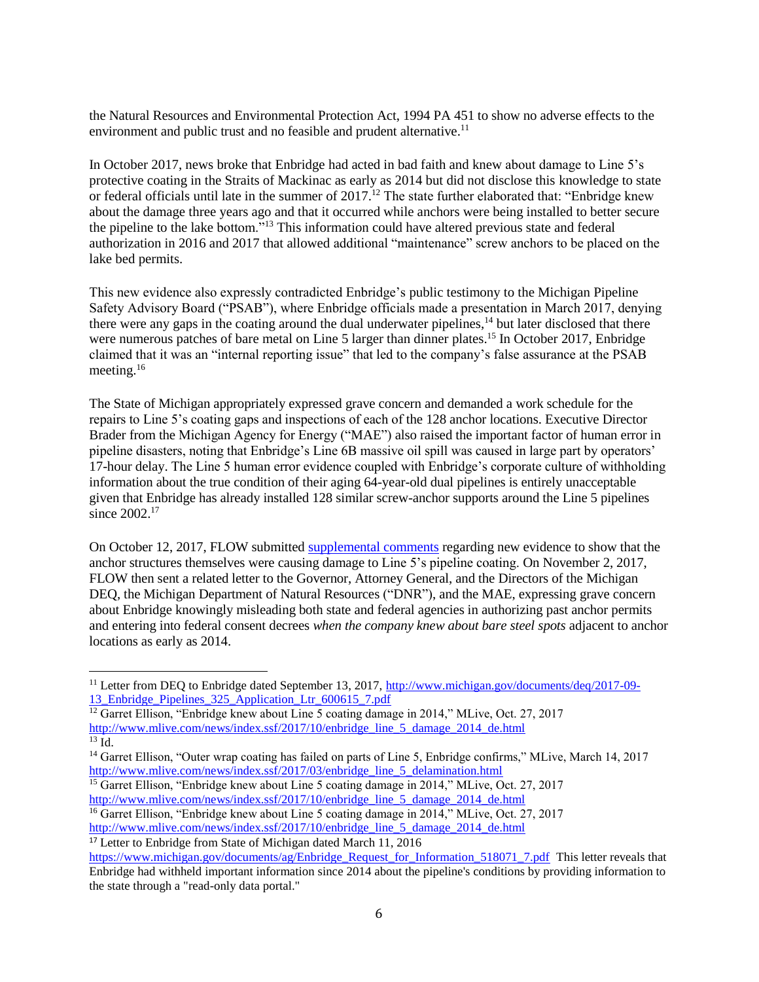the Natural Resources and Environmental Protection Act, 1994 PA 451 to show no adverse effects to the environment and public trust and no feasible and prudent alternative.<sup>11</sup>

In October 2017, news broke that Enbridge had acted in bad faith and knew about damage to Line 5's protective coating in the Straits of Mackinac as early as 2014 but did not disclose this knowledge to state or federal officials until late in the summer of 2017.<sup>12</sup> The state further elaborated that: "Enbridge knew about the damage three years ago and that it occurred while anchors were being installed to better secure the pipeline to the lake bottom."<sup>13</sup> This information could have altered previous state and federal authorization in 2016 and 2017 that allowed additional "maintenance" screw anchors to be placed on the lake bed permits.

This new evidence also expressly contradicted Enbridge's public testimony to the Michigan Pipeline Safety Advisory Board ("PSAB"), where Enbridge officials made a presentation in March 2017, denying there were any gaps in the coating around the dual underwater pipelines,<sup>14</sup> but later disclosed that there were numerous patches of bare metal on Line 5 larger than dinner plates.<sup>15</sup> In October 2017, Enbridge claimed that it was an "internal reporting issue" that led to the company's false assurance at the PSAB meeting. $16$ 

The State of Michigan appropriately expressed grave concern and demanded a work schedule for the repairs to Line 5's coating gaps and inspections of each of the 128 anchor locations. Executive Director Brader from the Michigan Agency for Energy ("MAE") also raised the important factor of human error in pipeline disasters, noting that Enbridge's Line 6B massive oil spill was caused in large part by operators' 17-hour delay. The Line 5 human error evidence coupled with Enbridge's corporate culture of withholding information about the true condition of their aging 64-year-old dual pipelines is entirely unacceptable given that Enbridge has already installed 128 similar screw-anchor supports around the Line 5 pipelines since 2002.<sup>17</sup>

On October 12, 2017, FLOW submitte[d supplemental comments](http://flowforwater.org/wp-content/uploads/2018/02/FLOW-Supplemental-Comments-to-DEQ-USCOE-Joint-App-Enbridge-for-Supports.pdf) regarding new evidence to show that the anchor structures themselves were causing damage to Line 5's pipeline coating. On November 2, 2017, FLOW then sent a related letter to the Governor, Attorney General, and the Directors of the Michigan DEQ, the Michigan Department of Natural Resources ("DNR"), and the MAE, expressing grave concern about Enbridge knowingly misleading both state and federal agencies in authorizing past anchor permits and entering into federal consent decrees *when the company knew about bare steel spots* adjacent to anchor locations as early as 2014.

 $\overline{\phantom{a}}$ 

<sup>&</sup>lt;sup>11</sup> Letter from DEQ to Enbridge dated September 13, 2017, [http://www.michigan.gov/documents/deq/2017-09-](http://www.michigan.gov/documents/deq/2017-09-13_Enbridge_Pipelines_325_Application_Ltr_600615_7.pdf) [13\\_Enbridge\\_Pipelines\\_325\\_Application\\_Ltr\\_600615\\_7.pdf](http://www.michigan.gov/documents/deq/2017-09-13_Enbridge_Pipelines_325_Application_Ltr_600615_7.pdf)

<sup>&</sup>lt;sup>12</sup> Garret Ellison, "Enbridge knew about Line 5 coating damage in 2014," MLive, Oct. 27, 2017 [http://www.mlive.com/news/index.ssf/2017/10/enbridge\\_line\\_5\\_damage\\_2014\\_de.html](http://www.mlive.com/news/index.ssf/2017/10/enbridge_line_5_damage_2014_de.html)  $\overline{^{13} \text{ Id}}$ .

<sup>&</sup>lt;sup>14</sup> Garret Ellison, "Outer wrap coating has failed on parts of Line 5, Enbridge confirms," MLive, March 14, 2017 [http://www.mlive.com/news/index.ssf/2017/03/enbridge\\_line\\_5\\_delamination.html](http://www.mlive.com/news/index.ssf/2017/03/enbridge_line_5_delamination.html)

<sup>&</sup>lt;sup>15</sup> Garret Ellison, "Enbridge knew about Line 5 coating damage in 2014," MLive, Oct. 27, 2017 [http://www.mlive.com/news/index.ssf/2017/10/enbridge\\_line\\_5\\_damage\\_2014\\_de.html](http://www.mlive.com/news/index.ssf/2017/10/enbridge_line_5_damage_2014_de.html)

<sup>&</sup>lt;sup>16</sup> Garret Ellison, "Enbridge knew about Line 5 coating damage in 2014," MLive, Oct. 27, 2017 [http://www.mlive.com/news/index.ssf/2017/10/enbridge\\_line\\_5\\_damage\\_2014\\_de.html](http://www.mlive.com/news/index.ssf/2017/10/enbridge_line_5_damage_2014_de.html)

<sup>&</sup>lt;sup>17</sup> Letter to Enbridge from State of Michigan dated March 11, 2016

[https://www.michigan.gov/documents/ag/Enbridge\\_Request\\_for\\_Information\\_518071\\_7.pdf](https://www.michigan.gov/documents/ag/Enbridge_Request_for_Information_518071_7.pdf) This letter reveals that Enbridge had withheld important information since 2014 about the pipeline's conditions by providing information to the state through a "read-only data portal."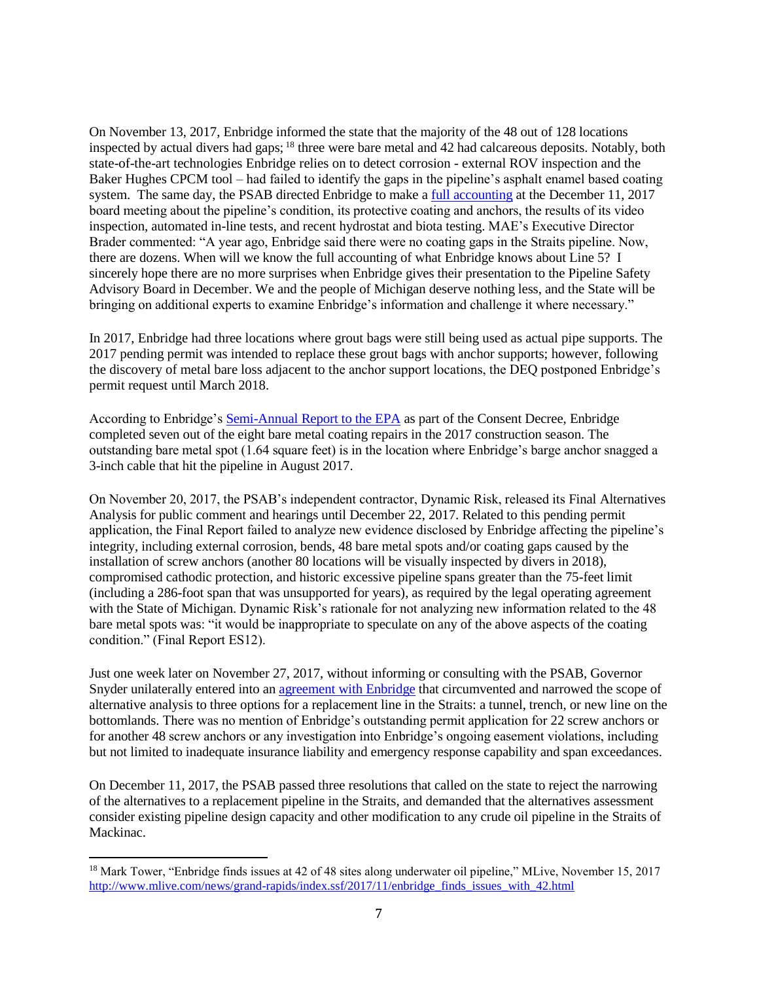On November 13, 2017, Enbridge informed the state that the majority of the 48 out of 128 locations inspected by actual divers had gaps; <sup>18</sup> three were bare metal and 42 had calcareous deposits. Notably, both state-of-the-art technologies Enbridge relies on to detect corrosion - external ROV inspection and the Baker Hughes CPCM tool – had failed to identify the gaps in the pipeline's asphalt enamel based coating system. The same day, the PSAB directed Enbridge to make a [full accounting](http://www.michigan.gov/deq/0,4561,7-135-3308_3323-452214--,00.html) at the December 11, 2017 board meeting about the pipeline's condition, its protective coating and anchors, the results of its video inspection, automated in-line tests, and recent hydrostat and biota testing. MAE's Executive Director Brader commented: "A year ago, Enbridge said there were no coating gaps in the Straits pipeline. Now, there are dozens. When will we know the full accounting of what Enbridge knows about Line 5? I sincerely hope there are no more surprises when Enbridge gives their presentation to the Pipeline Safety Advisory Board in December. We and the people of Michigan deserve nothing less, and the State will be bringing on additional experts to examine Enbridge's information and challenge it where necessary."

In 2017, Enbridge had three locations where grout bags were still being used as actual pipe supports. The 2017 pending permit was intended to replace these grout bags with anchor supports; however, following the discovery of metal bare loss adjacent to the anchor support locations, the DEQ postponed Enbridge's permit request until March 2018.

According to Enbridge's Semi-Annual [Report to the EPA](https://www.epa.gov/sites/production/files/2018-01/documents/public_copy_enbridge_semi-annual_report_1-18-18.pdf) as part of the Consent Decree, Enbridge completed seven out of the eight bare metal coating repairs in the 2017 construction season. The outstanding bare metal spot (1.64 square feet) is in the location where Enbridge's barge anchor snagged a 3-inch cable that hit the pipeline in August 2017.

On November 20, 2017, the PSAB's independent contractor, Dynamic Risk, released its [Final Alternatives](https://mipetroleumpipelines.com/document/alternatives-analysis-straits-pipeline-final-report)  [Analysis](https://mipetroleumpipelines.com/document/alternatives-analysis-straits-pipeline-final-report) for public comment and hearings until December 22, 2017. Related to this pending permit application, the Final Report failed to analyze new evidence disclosed by Enbridge affecting the pipeline's integrity, including external corrosion, bends, 48 bare metal spots and/or coating gaps caused by the installation of screw anchors (another 80 locations will be visually inspected by divers in 2018), compromised cathodic protection, and historic excessive pipeline spans greater than the 75-feet limit (including a 286-foot span that was unsupported for years), as required by the legal operating agreement with the State of Michigan. Dynamic Risk's rationale for not analyzing new information related to the 48 bare metal spots was: "it would be inappropriate to speculate on any of the above aspects of the coating condition." (Final Report ES12).

Just one week later on November 27, 2017, without informing or consulting with the PSAB, Governor Snyder unilaterally entered into an [agreement with Enbridge](http://www.michigan.gov/documents/snyder/Enbridge_Agreement_11-27-17_606863_7.pdf) that circumvented and narrowed the scope of alternative analysis to three options for a replacement line in the Straits: a tunnel, trench, or new line on the bottomlands. There was no mention of Enbridge's outstanding permit application for 22 screw anchors or for another 48 screw anchors or any investigation into Enbridge's ongoing easement violations, including but not limited to inadequate insurance liability and emergency response capability and span exceedances.

On December 11, 2017, the PSAB passed three resolutions that called on the state to reject the narrowing of the alternatives to a replacement pipeline in the Straits, and demanded that the alternatives assessment consider existing pipeline design capacity and other modification to any crude oil pipeline in the Straits of Mackinac.

 $\overline{a}$ 

<sup>&</sup>lt;sup>18</sup> Mark Tower, "Enbridge finds issues at 42 of 48 sites along underwater oil pipeline," MLive, November 15, 2017 [http://www.mlive.com/news/grand-rapids/index.ssf/2017/11/enbridge\\_finds\\_issues\\_with\\_42.html](http://www.mlive.com/news/grand-rapids/index.ssf/2017/11/enbridge_finds_issues_with_42.html)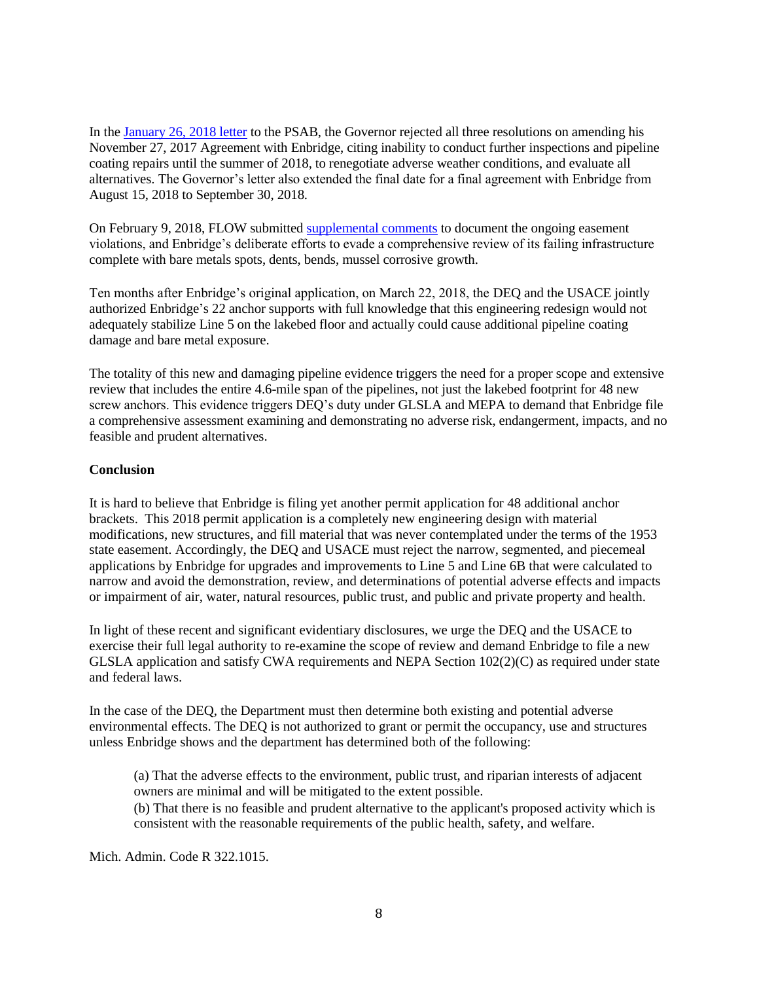In the [January 26, 2018 letter](https://content.govdelivery.com/attachments/MILARA/2018/01/29/file_attachments/950012/Gov.%2BSnyder%2527s%2Bletter%2Bto%2Bthe%2BPipeline%2BSafety%2BAdvisory%2BBoard.pdf) to the PSAB, the Governor rejected all three resolutions on amending his November 27, 2017 Agreement with Enbridge, citing inability to conduct further inspections and pipeline coating repairs until the summer of 2018, to renegotiate adverse weather conditions, and evaluate all alternatives. The Governor's letter also extended the final date for a final agreement with Enbridge from August 15, 2018 to September 30, 2018.

On February 9, 2018, FLOW submitted [supplemental comments](http://flowforwater.org/wp-content/uploads/2018/02/FLOW-Supplemental-Comments-on-2017-Anchor-Permit-2018.02.09.pdf) to document the ongoing easement violations, and Enbridge's deliberate efforts to evade a comprehensive review of its failing infrastructure complete with bare metals spots, dents, bends, mussel corrosive growth.

Ten months after Enbridge's original application, on March 22, 2018, the DEQ and the USACE jointly authorized Enbridge's 22 anchor supports with full knowledge that this engineering redesign would not adequately stabilize Line 5 on the lakebed floor and actually could cause additional pipeline coating damage and bare metal exposure.

The totality of this new and damaging pipeline evidence triggers the need for a proper scope and extensive review that includes the entire 4.6-mile span of the pipelines, not just the lakebed footprint for 48 new screw anchors. This evidence triggers DEQ's duty under GLSLA and MEPA to demand that Enbridge file a comprehensive assessment examining and demonstrating no adverse risk, endangerment, impacts, and no feasible and prudent alternatives.

#### **Conclusion**

It is hard to believe that Enbridge is filing yet another permit application for 48 additional anchor brackets. This 2018 permit application is a completely new engineering design with material modifications, new structures, and fill material that was never contemplated under the terms of the 1953 state easement. Accordingly, the DEQ and USACE must reject the narrow, segmented, and piecemeal applications by Enbridge for upgrades and improvements to Line 5 and Line 6B that were calculated to narrow and avoid the demonstration, review, and determinations of potential adverse effects and impacts or impairment of air, water, natural resources, public trust, and public and private property and health.

In light of these recent and significant evidentiary disclosures, we urge the DEQ and the USACE to exercise their full legal authority to re-examine the scope of review and demand Enbridge to file a new GLSLA application and satisfy CWA requirements and NEPA Section 102(2)(C) as required under state and federal laws.

In the case of the DEQ, the Department must then determine both existing and potential adverse environmental effects. The DEQ is not authorized to grant or permit the occupancy, use and structures unless Enbridge shows and the department has determined both of the following:

(a) That the adverse effects to the environment, public trust, and riparian interests of adjacent owners are minimal and will be mitigated to the extent possible.

(b) That there is no feasible and prudent alternative to the applicant's proposed activity which is consistent with the reasonable requirements of the public health, safety, and welfare.

Mich. Admin. Code R 322.1015.